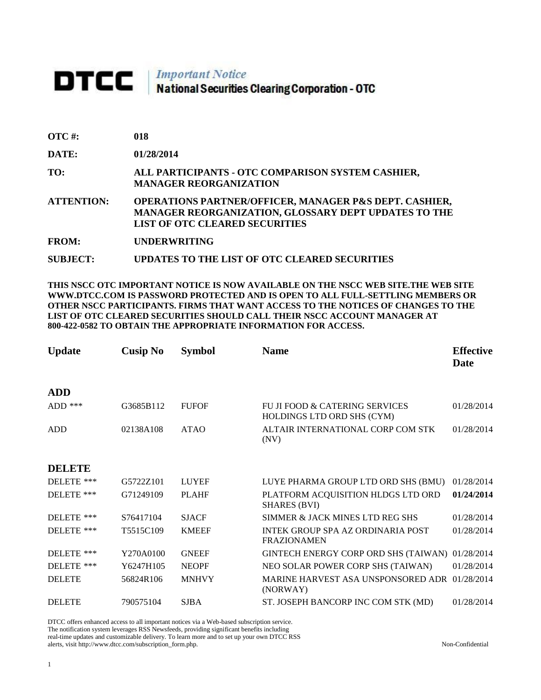## **DTCC** National Securities Clearing Corporation - OTC

| OTC #:            | 018                                                                                                                                                                       |
|-------------------|---------------------------------------------------------------------------------------------------------------------------------------------------------------------------|
| <b>DATE:</b>      | 01/28/2014                                                                                                                                                                |
| TO:               | ALL PARTICIPANTS - OTC COMPARISON SYSTEM CASHIER,<br><b>MANAGER REORGANIZATION</b>                                                                                        |
| <b>ATTENTION:</b> | <b>OPERATIONS PARTNER/OFFICER, MANAGER P&amp;S DEPT. CASHIER,</b><br><b>MANAGER REORGANIZATION, GLOSSARY DEPT UPDATES TO THE</b><br><b>LIST OF OTC CLEARED SECURITIES</b> |
| <b>FROM:</b>      | <b>UNDERWRITING</b>                                                                                                                                                       |

**SUBJECT: UPDATES TO THE LIST OF OTC CLEARED SECURITIES**

## **THIS NSCC OTC IMPORTANT NOTICE IS NOW AVAILABLE ON THE NSCC WEB SITE.THE WEB SITE WWW.DTCC.COM IS PASSWORD PROTECTED AND IS OPEN TO ALL FULL-SETTLING MEMBERS OR OTHER NSCC PARTICIPANTS. FIRMS THAT WANT ACCESS TO THE NOTICES OF CHANGES TO THE LIST OF OTC CLEARED SECURITIES SHOULD CALL THEIR NSCC ACCOUNT MANAGER AT 800-422-0582 TO OBTAIN THE APPROPRIATE INFORMATION FOR ACCESS.**

| <b>Update</b> | <b>Cusip No</b> | <b>Symbol</b> | <b>Name</b>                                                  | <b>Effective</b><br>Date |
|---------------|-----------------|---------------|--------------------------------------------------------------|--------------------------|
| <b>ADD</b>    |                 |               |                                                              |                          |
| $ADD$ ***     | G3685B112       | <b>FUFOF</b>  | FU JI FOOD & CATERING SERVICES<br>HOLDINGS LTD ORD SHS (CYM) | 01/28/2014               |
| <b>ADD</b>    | 02138A108       | <b>ATAO</b>   | ALTAIR INTERNATIONAL CORP COM STK<br>(NV)                    | 01/28/2014               |
| <b>DELETE</b> |                 |               |                                                              |                          |
| DELETE ***    | G5722Z101       | <b>LUYEF</b>  | LUYE PHARMA GROUP LTD ORD SHS (BMU)                          | 01/28/2014               |
| DELETE ***    | G71249109       | <b>PLAHF</b>  | PLATFORM ACQUISITION HLDGS LTD ORD<br><b>SHARES (BVI)</b>    | 01/24/2014               |
| DELETE ***    | S76417104       | <b>SJACF</b>  | SIMMER & JACK MINES LTD REG SHS                              | 01/28/2014               |
| DELETE ***    | T5515C109       | <b>KMEEF</b>  | INTEK GROUP SPA AZ ORDINARIA POST<br><b>FRAZIONAMEN</b>      | 01/28/2014               |
| DELETE ***    | Y270A0100       | <b>GNEEF</b>  | GINTECH ENERGY CORP ORD SHS (TAIWAN)                         | 01/28/2014               |
| DELETE ***    | Y6247H105       | <b>NEOPF</b>  | NEO SOLAR POWER CORP SHS (TAIWAN)                            | 01/28/2014               |
| <b>DELETE</b> | 56824R106       | <b>MNHVY</b>  | MARINE HARVEST ASA UNSPONSORED ADR<br>(NORWAY)               | 01/28/2014               |
| <b>DELETE</b> | 790575104       | <b>SJBA</b>   | ST. JOSEPH BANCORP INC COM STK (MD)                          | 01/28/2014               |

DTCC offers enhanced access to all important notices via a Web-based subscription service.

The notification system leverages RSS Newsfeeds, providing significant benefits including

real-time updates and customizable delivery. To learn more and to set up your own DTCC RSS alerts, visit http://www.dtcc.com/subscription\_form.php. Non-Confidential